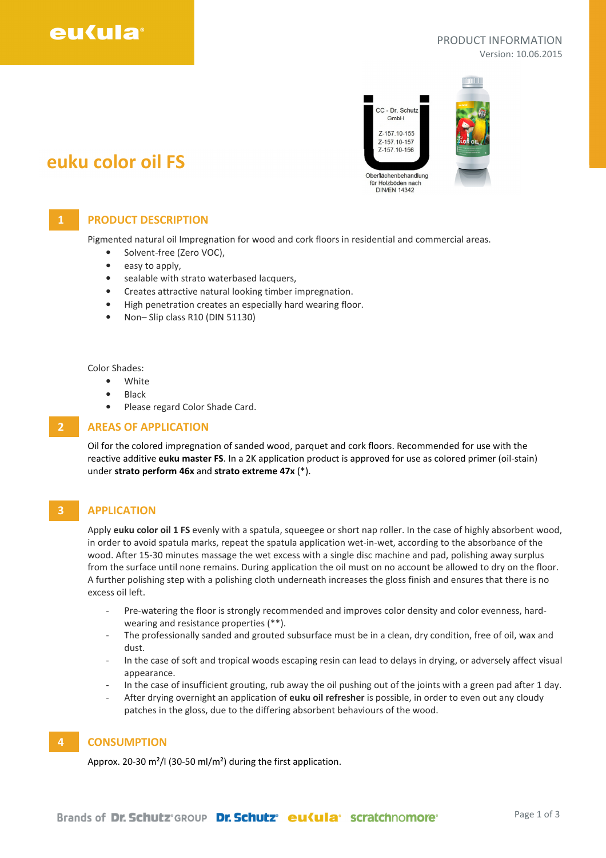

#### PRODUCT INFORMATION Version: 10.06.2015



# euku color oil FS

## 1 **PRODUCT DESCRIPTION**

Pigmented natural oil Impregnation for wood and cork floors in residential and commercial areas.

- Solvent-free (Zero VOC),
- easy to apply,
- sealable with strato waterbased lacquers,
- Creates attractive natural looking timber impregnation.
- High penetration creates an especially hard wearing floor.
- Non– Slip class R10 (DIN 51130)

Color Shades:

- White
- Black
- Please regard Color Shade Card.

#### 2 AREAS OF APPLICATION

Oil for the colored impregnation of sanded wood, parquet and cork floors. Recommended for use with the reactive additive euku master FS. In a 2K application product is approved for use as colored primer (oil-stain) under strato perform 46x and strato extreme 47x (\*).

#### **3** APPLICATION

Apply euku color oil 1 FS evenly with a spatula, squeegee or short nap roller. In the case of highly absorbent wood, in order to avoid spatula marks, repeat the spatula application wet-in-wet, according to the absorbance of the wood. After 15-30 minutes massage the wet excess with a single disc machine and pad, polishing away surplus from the surface until none remains. During application the oil must on no account be allowed to dry on the floor. A further polishing step with a polishing cloth underneath increases the gloss finish and ensures that there is no excess oil left.

- Pre-watering the floor is strongly recommended and improves color density and color evenness, hardwearing and resistance properties (\*\*).
- The professionally sanded and grouted subsurface must be in a clean, dry condition, free of oil, wax and dust.
- In the case of soft and tropical woods escaping resin can lead to delays in drying, or adversely affect visual appearance.
- In the case of insufficient grouting, rub away the oil pushing out of the joints with a green pad after 1 day.
- After drying overnight an application of euku oil refresher is possible, in order to even out any cloudy patches in the gloss, due to the differing absorbent behaviours of the wood.

### 4 CONSUMPTION

Approx. 20-30 m²/l (30-50 ml/m²) during the first application.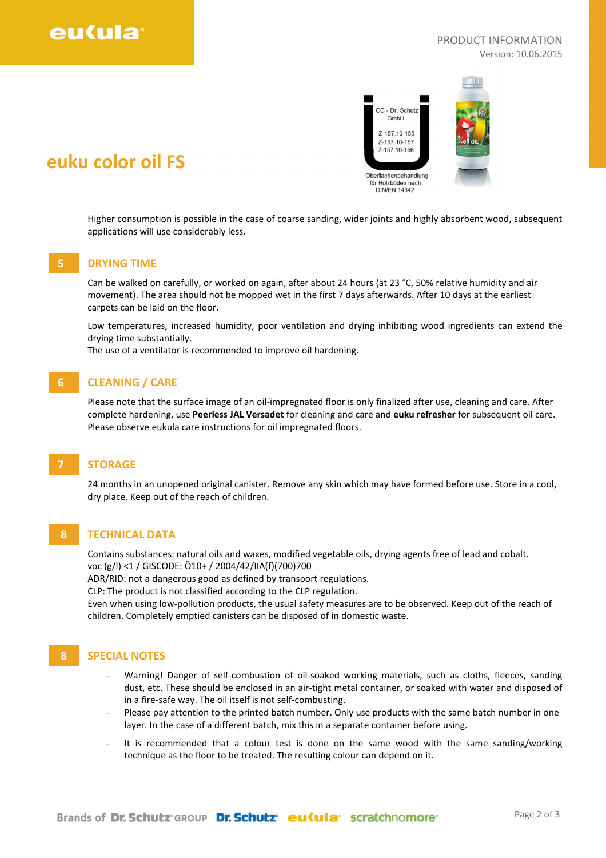# eu(ula

#### PRODUCT INFORMATION Version: 10.06.2015



Higher consumption is possible in the case of coarse sanding, wider joints and highly absorbent wood, subsequent applications will use considerably less.

#### 5 DRYING TIME

euku color oil FS

Can be walked on carefully, or worked on again, after about 24 hours (at 23 °C, 50% relative humidity and air movement). The area should not be mopped wet in the first 7 days afterwards. After 10 days at the earliest carpets can be laid on the floor.

Low temperatures, increased humidity, poor ventilation and drying inhibiting wood ingredients can extend the drying time substantially.

The use of a ventilator is recommended to improve oil hardening.

## 6 CLEANING / CARE

Please note that the surface image of an oil-impregnated floor is only finalized after use, cleaning and care. After complete hardening, use Peerless JAL Versadet for cleaning and care and euku refresher for subsequent oil care. Please observe eukula care instructions for oil impregnated floors.

# **STORAGE**

24 months in an unopened original canister. Remove any skin which may have formed before use. Store in a cool, dry place. Keep out of the reach of children.

## 8 TECHNICAL DATA

Contains substances: natural oils and waxes, modified vegetable oils, drying agents free of lead and cobalt. voc (g/l) <1 / GISCODE: Ö10+ / 2004/42/IIA(f)(700)700

ADR/RID: not a dangerous good as defined by transport regulations.

CLP: The product is not classified according to the CLP regulation.

Even when using low-pollution products, the usual safety measures are to be observed. Keep out of the reach of children. Completely emptied canisters can be disposed of in domestic waste.

## 8 SPECIAL NOTES

- Warning! Danger of self-combustion of oil-soaked working materials, such as cloths, fleeces, sanding dust, etc. These should be enclosed in an air-tight metal container, or soaked with water and disposed of in a fire-safe way. The oil itself is not self-combusting.
- Please pay attention to the printed batch number. Only use products with the same batch number in one layer. In the case of a different batch, mix this in a separate container before using.
- It is recommended that a colour test is done on the same wood with the same sanding/working technique as the floor to be treated. The resulting colour can depend on it.